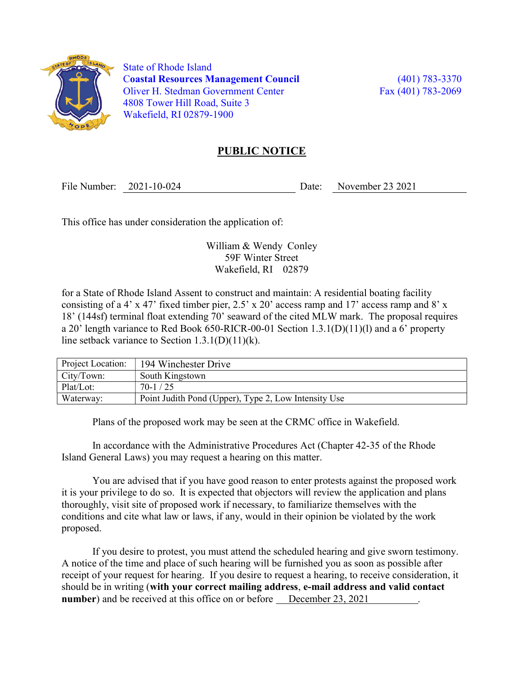

 State of Rhode Island Coastal Resources Management Council (401) 783-3370 Oliver H. Stedman Government Center Fax (401) 783-2069 4808 Tower Hill Road, Suite 3 Wakefield, RI 02879-1900

## PUBLIC NOTICE

File Number: 2021-10-024 Date: November 23 2021

This office has under consideration the application of:

William & Wendy Conley 59F Winter Street Wakefield, RI 02879

for a State of Rhode Island Assent to construct and maintain: A residential boating facility consisting of a 4' x 47' fixed timber pier, 2.5' x 20' access ramp and 17' access ramp and 8' x 18' (144sf) terminal float extending 70' seaward of the cited MLW mark. The proposal requires a 20' length variance to Red Book 650-RICR-00-01 Section 1.3.1(D)(11)(l) and a 6' property line setback variance to Section 1.3.1(D)(11)(k).

| Project Location: | 194 Winchester Drive                                 |
|-------------------|------------------------------------------------------|
| City/Town:        | South Kingstown                                      |
| Plat/Lot:         | $70-1/25$                                            |
| Waterway:         | Point Judith Pond (Upper), Type 2, Low Intensity Use |

Plans of the proposed work may be seen at the CRMC office in Wakefield.

In accordance with the Administrative Procedures Act (Chapter 42-35 of the Rhode Island General Laws) you may request a hearing on this matter.

You are advised that if you have good reason to enter protests against the proposed work it is your privilege to do so. It is expected that objectors will review the application and plans thoroughly, visit site of proposed work if necessary, to familiarize themselves with the conditions and cite what law or laws, if any, would in their opinion be violated by the work proposed.

If you desire to protest, you must attend the scheduled hearing and give sworn testimony. A notice of the time and place of such hearing will be furnished you as soon as possible after receipt of your request for hearing. If you desire to request a hearing, to receive consideration, it should be in writing (with your correct mailing address, e-mail address and valid contact number) and be received at this office on or before December 23, 2021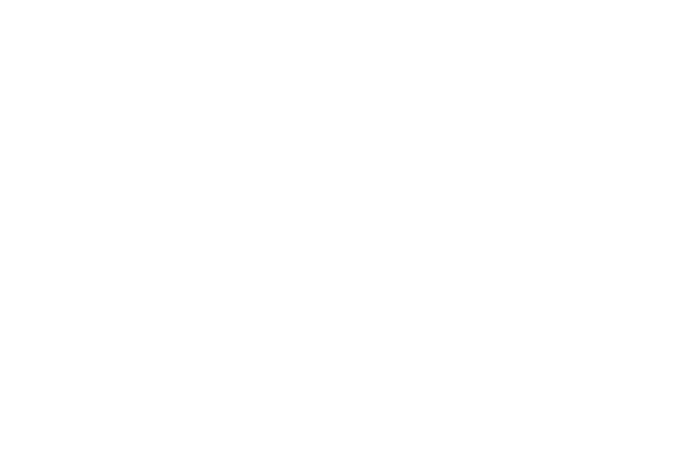

|         | <b>PROPERTY LINE</b>            |
|---------|---------------------------------|
|         | <b>ABUTTER'S PROPERTY LINE</b>  |
|         | TOPOGRAPHIC/BATHYMETRIC CONTOUR |
|         | EDGE OF VEGETATION              |
|         | STONE SEAWALL                   |
| OHW     | <b>OVERHEAD WIRES</b>           |
| œ       | <b>UTILITY POLE</b>             |
| $\cdot$ | <i>STONE BOUND</i>              |
|         | <b>IRON ROD/PIN/PIPE</b>        |



LOCATED ON:

DRAWING TITLED:

OWNED BY:

ADDRESS:

DESIGNED BY:

| DRAWN BY: | CHECKED BY: |
|-----------|-------------|
|           | <b>CJD</b>  |
|           |             |